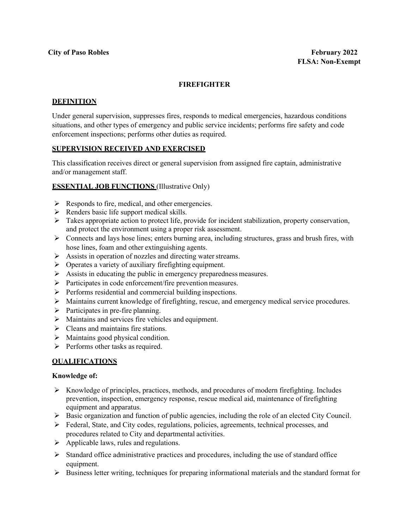# **FIREFIGHTER**

### **DEFINITION**

Under general supervision, suppresses fires, responds to medical emergencies, hazardous conditions situations, and other types of emergency and public service incidents; performs fire safety and code enforcement inspections; performs other duties as required.

### **SUPERVISION RECEIVED AND EXERCISED**

This classification receives direct or general supervision from assigned fire captain, administrative and/or management staff.

### **ESSENTIAL JOB FUNCTIONS** (Illustrative Only)

- $\triangleright$  Responds to fire, medical, and other emergencies.
- $\triangleright$  Renders basic life support medical skills.
- $\triangleright$  Takes appropriate action to protect life, provide for incident stabilization, property conservation, and protect the environment using a proper risk assessment.
- $\triangleright$  Connects and lays hose lines; enters burning area, including structures, grass and brush fires, with hose lines, foam and other extinguishing agents.
- $\triangleright$  Assists in operation of nozzles and directing water streams.
- $\triangleright$  Operates a variety of auxiliary firefighting equipment.
- $\triangleright$  Assists in educating the public in emergency preparedness measures.
- $\triangleright$  Participates in code enforcement/fire prevention measures.
- $\triangleright$  Performs residential and commercial building inspections.
- $\triangleright$  Maintains current knowledge of firefighting, rescue, and emergency medical service procedures.
- $\triangleright$  Participates in pre-fire planning.
- $\triangleright$  Maintains and services fire vehicles and equipment.
- $\triangleright$  Cleans and maintains fire stations.
- $\triangleright$  Maintains good physical condition.
- $\triangleright$  Performs other tasks as required.

### **QUALIFICATIONS**

#### **Knowledge of:**

- $\triangleright$  Knowledge of principles, practices, methods, and procedures of modern firefighting. Includes prevention, inspection, emergency response, rescue medical aid, maintenance of firefighting equipment and apparatus.
- $\triangleright$  Basic organization and function of public agencies, including the role of an elected City Council.
- $\triangleright$  Federal, State, and City codes, regulations, policies, agreements, technical processes, and procedures related to City and departmental activities.
- $\triangleright$  Applicable laws, rules and regulations.
- $\triangleright$  Standard office administrative practices and procedures, including the use of standard office equipment.
- $\triangleright$  Business letter writing, techniques for preparing informational materials and the standard format for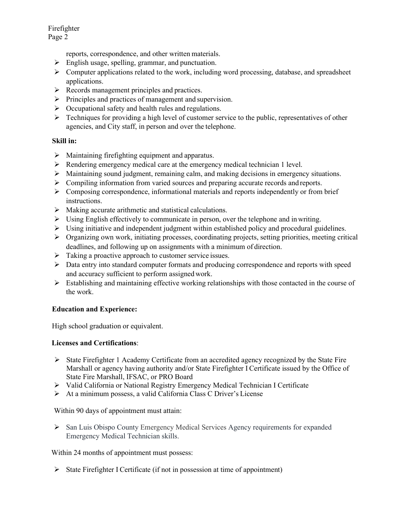Firefighter Page 2

reports, correspondence, and other written materials.

- $\triangleright$  English usage, spelling, grammar, and punctuation.
- Computer applications related to the work, including word processing, database, and spreadsheet applications.
- $\triangleright$  Records management principles and practices.
- $\triangleright$  Principles and practices of management and supervision.
- $\triangleright$  Occupational safety and health rules and regulations.
- $\triangleright$  Techniques for providing a high level of customer service to the public, representatives of other agencies, and City staff, in person and over the telephone.

### **Skill in:**

- $\triangleright$  Maintaining firefighting equipment and apparatus.
- Rendering emergency medical care at the emergency medical technician 1 level.
- $\triangleright$  Maintaining sound judgment, remaining calm, and making decisions in emergency situations.
- $\triangleright$  Compiling information from varied sources and preparing accurate records and reports.
- $\triangleright$  Composing correspondence, informational materials and reports independently or from brief instructions.
- $\triangleright$  Making accurate arithmetic and statistical calculations.
- $\triangleright$  Using English effectively to communicate in person, over the telephone and in writing.
- $\triangleright$  Using initiative and independent judgment within established policy and procedural guidelines.
- $\triangleright$  Organizing own work, initiating processes, coordinating projects, setting priorities, meeting critical deadlines, and following up on assignments with a minimum of direction.
- $\triangleright$  Taking a proactive approach to customer service issues.
- Data entry into standard computer formats and producing correspondence and reports with speed and accuracy sufficient to perform assigned work.
- $\triangleright$  Establishing and maintaining effective working relationships with those contacted in the course of the work.

# **Education and Experience:**

High school graduation or equivalent.

### **Licenses and Certifications**:

- $\triangleright$  State Firefighter 1 Academy Certificate from an accredited agency recognized by the State Fire Marshall or agency having authority and/or State Firefighter I Certificate issued by the Office of State Fire Marshall, IFSAC, or PRO Board
- Valid California or National Registry Emergency Medical Technician I Certificate
- At a minimum possess, a valid California Class C Driver's License

Within 90 days of appointment must attain:

 $\triangleright$  San Luis Obispo County Emergency Medical Services Agency requirements for expanded Emergency Medical Technician skills.

Within 24 months of appointment must possess:

 $\triangleright$  State Firefighter I Certificate (if not in possession at time of appointment)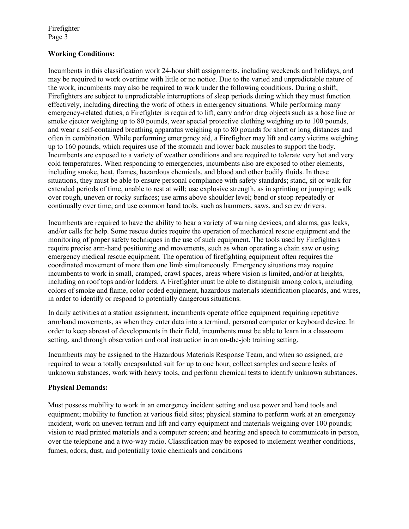Firefighter Page 3

# **Working Conditions:**

Incumbents in this classification work 24-hour shift assignments, including weekends and holidays, and may be required to work overtime with little or no notice. Due to the varied and unpredictable nature of the work, incumbents may also be required to work under the following conditions. During a shift, Firefighters are subject to unpredictable interruptions of sleep periods during which they must function effectively, including directing the work of others in emergency situations. While performing many emergency-related duties, a Firefighter is required to lift, carry and/or drag objects such as a hose line or smoke ejector weighing up to 80 pounds, wear special protective clothing weighing up to 100 pounds, and wear a self-contained breathing apparatus weighing up to 80 pounds for short or long distances and often in combination. While performing emergency aid, a Firefighter may lift and carry victims weighing up to 160 pounds, which requires use of the stomach and lower back muscles to support the body. Incumbents are exposed to a variety of weather conditions and are required to tolerate very hot and very cold temperatures. When responding to emergencies, incumbents also are exposed to other elements, including smoke, heat, flames, hazardous chemicals, and blood and other bodily fluids. In these situations, they must be able to ensure personal compliance with safety standards; stand, sit or walk for extended periods of time, unable to rest at will; use explosive strength, as in sprinting or jumping; walk over rough, uneven or rocky surfaces; use arms above shoulder level; bend or stoop repeatedly or continually over time; and use common hand tools, such as hammers, saws, and screw drivers.

Incumbents are required to have the ability to hear a variety of warning devices, and alarms, gas leaks, and/or calls for help. Some rescue duties require the operation of mechanical rescue equipment and the monitoring of proper safety techniques in the use of such equipment. The tools used by Firefighters require precise arm-hand positioning and movements, such as when operating a chain saw or using emergency medical rescue equipment. The operation of firefighting equipment often requires the coordinated movement of more than one limb simultaneously. Emergency situations may require incumbents to work in small, cramped, crawl spaces, areas where vision is limited, and/or at heights, including on roof tops and/or ladders. A Firefighter must be able to distinguish among colors, including colors of smoke and flame, color coded equipment, hazardous materials identification placards, and wires, in order to identify or respond to potentially dangerous situations.

In daily activities at a station assignment, incumbents operate office equipment requiring repetitive arm/hand movements, as when they enter data into a terminal, personal computer or keyboard device. In order to keep abreast of developments in their field, incumbents must be able to learn in a classroom setting, and through observation and oral instruction in an on-the-job training setting.

Incumbents may be assigned to the Hazardous Materials Response Team, and when so assigned, are required to wear a totally encapsulated suit for up to one hour, collect samples and secure leaks of unknown substances, work with heavy tools, and perform chemical tests to identify unknown substances.

### **Physical Demands:**

Must possess mobility to work in an emergency incident setting and use power and hand tools and equipment; mobility to function at various field sites; physical stamina to perform work at an emergency incident, work on uneven terrain and lift and carry equipment and materials weighing over 100 pounds; vision to read printed materials and a computer screen; and hearing and speech to communicate in person, over the telephone and a two-way radio. Classification may be exposed to inclement weather conditions, fumes, odors, dust, and potentially toxic chemicals and conditions